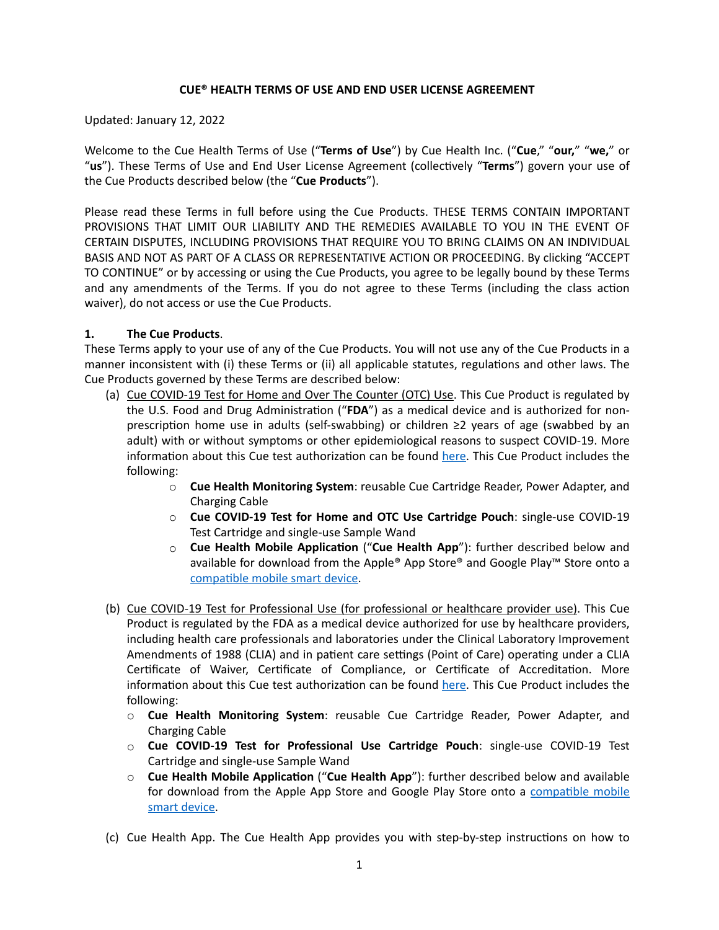### **CUE® HEALTH TERMS OF USE AND END USER LICENSE AGREEMENT**

Updated: January 12, 2022

Welcome to the Cue Health Terms of Use ("**Terms of Use**") by Cue Health Inc. ("**Cue**," "**our,**" "**we,**" or "**us**"). These Terms of Use and End User License Agreement (collectively "**Terms**") govern your use of the Cue Products described below (the "**Cue Products**").

Please read these Terms in full before using the Cue Products. THESE TERMS CONTAIN IMPORTANT PROVISIONS THAT LIMIT OUR LIABILITY AND THE REMEDIES AVAILABLE TO YOU IN THE EVENT OF CERTAIN DISPUTES, INCLUDING PROVISIONS THAT REQUIRE YOU TO BRING CLAIMS ON AN INDIVIDUAL BASIS AND NOT AS PART OF A CLASS OR REPRESENTATIVE ACTION OR PROCEEDING. By clicking "ACCEPT TO CONTINUE" or by accessing or using the Cue Products, you agree to be legally bound by these Terms and any amendments of the Terms. If you do not agree to these Terms (including the class action waiver), do not access or use the Cue Products.

## **1. The Cue Products**.

These Terms apply to your use of any of the Cue Products. You will not use any of the Cue Products in a manner inconsistent with (i) these Terms or (ii) all applicable statutes, regulations and other laws. The Cue Products governed by these Terms are described below:

- (a) Cue COVID-19 Test for Home and Over The Counter (OTC) Use. This Cue Product is regulated by the U.S. Food and Drug Administration ("**FDA**") as a medical device and is authorized for nonprescription home use in adults (self-swabbing) or children ≥2 years of age (swabbed by an adult) with or without symptoms or other epidemiological reasons to suspect COVID-19. More information about this Cue test authorization can be found [here](https://cuehealth.com/help-and-support/product-documentation/). This Cue Product includes the following:
	- o **Cue Health Monitoring System**: reusable Cue Cartridge Reader, Power Adapter, and Charging Cable
	- o **Cue COVID-19 Test for Home and OTC Use Cartridge Pouch**: single-use COVID-19 Test Cartridge and single-use Sample Wand
	- o **Cue Health Mobile Application** ("**Cue Health App**"): further described below and available for download from the Apple® App Store® and Google Play™ Store onto a [compatible mobile smart device](https://cuehealth.com/help-and-support/compatible-devices/).
- (b) Cue COVID-19 Test for Professional Use (for professional or healthcare provider use). This Cue Product is regulated by the FDA as a medical device authorized for use by healthcare providers, including health care professionals and laboratories under the Clinical Laboratory Improvement Amendments of 1988 (CLIA) and in patient care settings (Point of Care) operating under a CLIA Certificate of Waiver, Certificate of Compliance, or Certificate of Accreditation. More information about this Cue test authorization can be found [here](https://cuehealth.com/help-and-support/product-documentation/). This Cue Product includes the following:
	- o **Cue Health Monitoring System**: reusable Cue Cartridge Reader, Power Adapter, and Charging Cable
	- o **Cue COVID-19 Test for Professional Use Cartridge Pouch**: single-use COVID-19 Test Cartridge and single-use Sample Wand
	- o **Cue Health Mobile Application** ("**Cue Health App**"): further described below and available for download from the Apple App Store and Google Play Store onto a [compatible mobile](https://cuehealth.com/help-and-support/compatible-devices/) [smart device](https://cuehealth.com/help-and-support/compatible-devices/).
- (c) Cue Health App. The Cue Health App provides you with step-by-step instructions on how to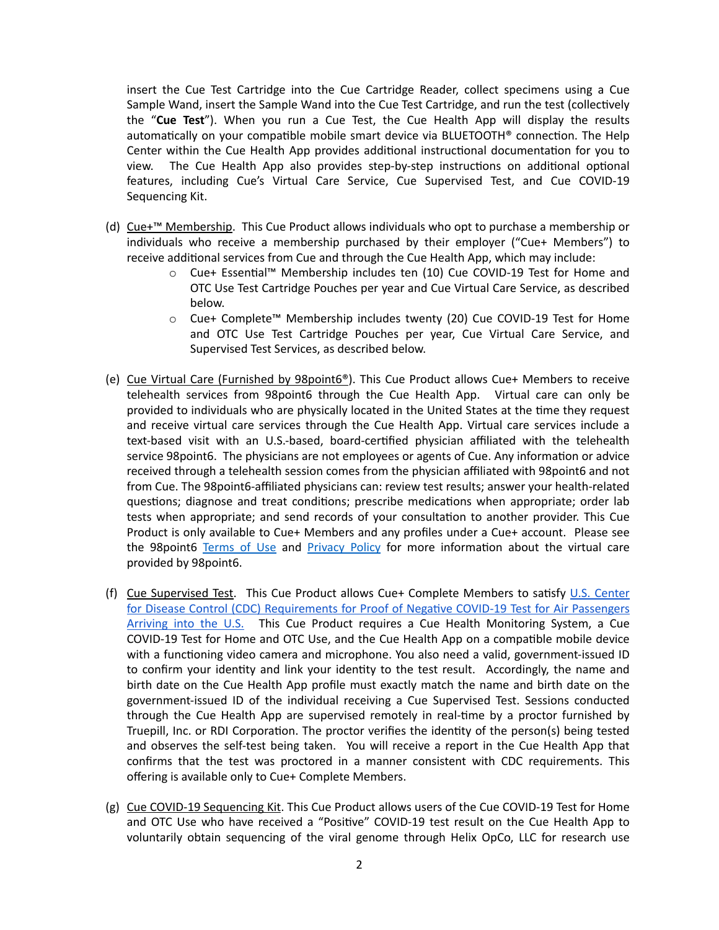insert the Cue Test Cartridge into the Cue Cartridge Reader, collect specimens using a Cue Sample Wand, insert the Sample Wand into the Cue Test Cartridge, and run the test (collectively the "**Cue Test**"). When you run a Cue Test, the Cue Health App will display the results automatically on your compatible mobile smart device via BLUETOOTH® connection. The Help Center within the Cue Health App provides additional instructional documentation for you to view. The Cue Health App also provides step-by-step instructions on additional optional features, including Cue's Virtual Care Service, Cue Supervised Test, and Cue COVID-19 Sequencing Kit.

- (d) Cue+™ Membership. This Cue Product allows individuals who opt to purchase a membership or individuals who receive a membership purchased by their employer ("Cue+ Members") to receive additional services from Cue and through the Cue Health App, which may include:
	- o Cue+ Essential™ Membership includes ten (10) Cue COVID-19 Test for Home and OTC Use Test Cartridge Pouches per year and Cue Virtual Care Service, as described below.
	- o Cue+ Complete™ Membership includes twenty (20) Cue COVID-19 Test for Home and OTC Use Test Cartridge Pouches per year, Cue Virtual Care Service, and Supervised Test Services, as described below.
- (e) Cue Virtual Care (Furnished by 98point6®). This Cue Product allows Cue+ Members to receive telehealth services from 98point6 through the Cue Health App. Virtual care can only be provided to individuals who are physically located in the United States at the time they request and receive virtual care services through the Cue Health App. Virtual care services include a text-based visit with an U.S.-based, board-certified physician affiliated with the telehealth service 98point6. The physicians are not employees or agents of Cue. Any information or advice received through a telehealth session comes from the physician affiliated with 98point6 and not from Cue. The 98point6-affiliated physicians can: review test results; answer your health-related questions; diagnose and treat conditions; prescribe medications when appropriate; order lab tests when appropriate; and send records of your consultation to another provider. This Cue Product is only available to Cue+ Members and any profiles under a Cue+ account. Please see the 98point6 [Terms of Use](https://www.98point6.com/legal-and-privacy/#termsofuse) and [Privacy Policy](https://www.98point6.com/legal-and-privacy/#privacypolicy) for more information about the virtual care provided by 98point6.
- (f) Cue Supervised Test. This Cue Product allows Cue+ Complete Members to satisfy [U.S. Center](https://www.cdc.gov/coronavirus/2019-ncov/travelers/international-travel/index.html) [for Disease Control \(CDC\) Requirements for Proof of Negative COVID-19 Test for Air Passengers](https://www.cdc.gov/coronavirus/2019-ncov/travelers/international-travel/index.html) [Arriving into the U.S.](https://www.cdc.gov/coronavirus/2019-ncov/travelers/international-travel/index.html) This Cue Product requires a Cue Health Monitoring System, a Cue COVID-19 Test for Home and OTC Use, and the Cue Health App on a compatible mobile device with a functioning video camera and microphone. You also need a valid, government-issued ID to confirm your identity and link your identity to the test result. Accordingly, the name and birth date on the Cue Health App profile must exactly match the name and birth date on the government-issued ID of the individual receiving a Cue Supervised Test. Sessions conducted through the Cue Health App are supervised remotely in real-time by a proctor furnished by Truepill, Inc. or RDI Corporation. The proctor verifies the identity of the person(s) being tested and observes the self-test being taken. You will receive a report in the Cue Health App that confirms that the test was proctored in a manner consistent with CDC requirements. This offering is available only to Cue+ Complete Members.
- (g) Cue COVID-19 Sequencing Kit. This Cue Product allows users of the Cue COVID-19 Test for Home and OTC Use who have received a "Positive" COVID-19 test result on the Cue Health App to voluntarily obtain sequencing of the viral genome through Helix OpCo, LLC for research use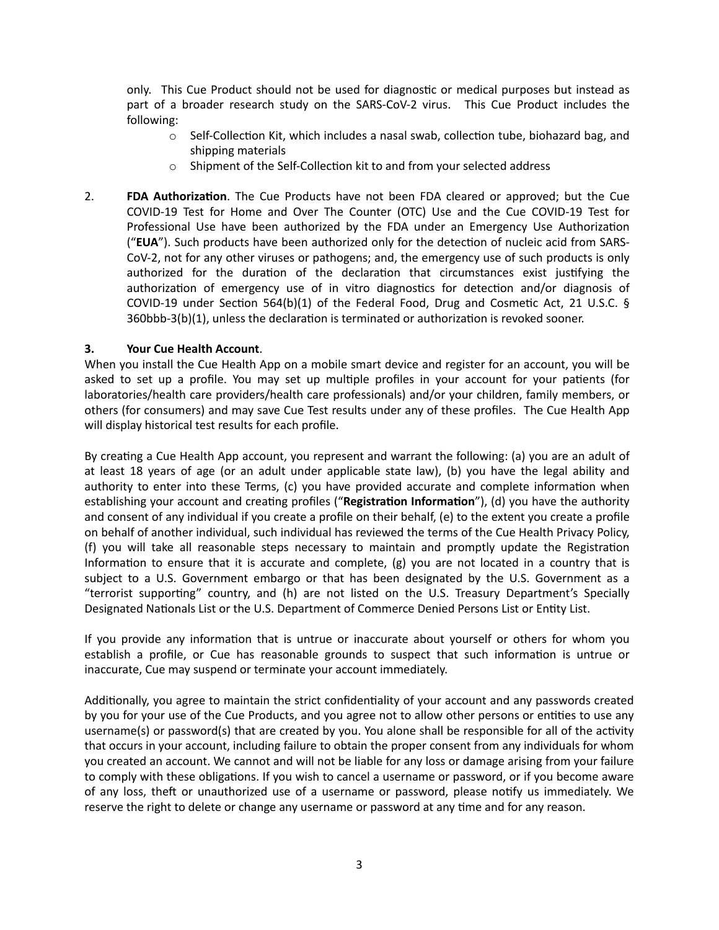only. This Cue Product should not be used for diagnostic or medical purposes but instead as part of a broader research study on the SARS-CoV-2 virus. This Cue Product includes the following:

- $\circ$  Self-Collection Kit, which includes a nasal swab, collection tube, biohazard bag, and shipping materials
- o Shipment of the Self-Collection kit to and from your selected address
- 2. **FDA Authorization**. The Cue Products have not been FDA cleared or approved; but the Cue COVID-19 Test for Home and Over The Counter (OTC) Use and the Cue COVID-19 Test for Professional Use have been authorized by the FDA under an Emergency Use Authorization ("**EUA**"). Such products have been authorized only for the detection of nucleic acid from SARS-CoV-2, not for any other viruses or pathogens; and, the emergency use of such products is only authorized for the duration of the declaration that circumstances exist justifying the authorization of emergency use of in vitro diagnostics for detection and/or diagnosis of COVID-19 under Section 564(b)(1) of the Federal Food, Drug and Cosmetic Act, 21 U.S.C. § 360bbb-3(b)(1), unless the declaration is terminated or authorization is revoked sooner.

## **3. Your Cue Health Account**.

When you install the Cue Health App on a mobile smart device and register for an account, you will be asked to set up a profile. You may set up multiple profiles in your account for your patients (for laboratories/health care providers/health care professionals) and/or your children, family members, or others (for consumers) and may save Cue Test results under any of these profiles. The Cue Health App will display historical test results for each profile.

By creating a Cue Health App account, you represent and warrant the following: (a) you are an adult of at least 18 years of age (or an adult under applicable state law), (b) you have the legal ability and authority to enter into these Terms, (c) you have provided accurate and complete information when establishing your account and creating profiles ("**Registration Information**"), (d) you have the authority and consent of any individual if you create a profile on their behalf, (e) to the extent you create a profile on behalf of another individual, such individual has reviewed the terms of the Cue Health Privacy Policy, (f) you will take all reasonable steps necessary to maintain and promptly update the Registration Information to ensure that it is accurate and complete, (g) you are not located in a country that is subject to a U.S. Government embargo or that has been designated by the U.S. Government as a "terrorist supporting" country, and (h) are not listed on the U.S. Treasury Department's Specially Designated Nationals List or the U.S. Department of Commerce Denied Persons List or Entity List.

If you provide any information that is untrue or inaccurate about yourself or others for whom you establish a profile, or Cue has reasonable grounds to suspect that such information is untrue or inaccurate, Cue may suspend or terminate your account immediately.

Additionally, you agree to maintain the strict confidentiality of your account and any passwords created by you for your use of the Cue Products, and you agree not to allow other persons or entities to use any username(s) or password(s) that are created by you. You alone shall be responsible for all of the activity that occurs in your account, including failure to obtain the proper consent from any individuals for whom you created an account. We cannot and will not be liable for any loss or damage arising from your failure to comply with these obligations. If you wish to cancel a username or password, or if you become aware of any loss, theft or unauthorized use of a username or password, please notify us immediately. We reserve the right to delete or change any username or password at any time and for any reason.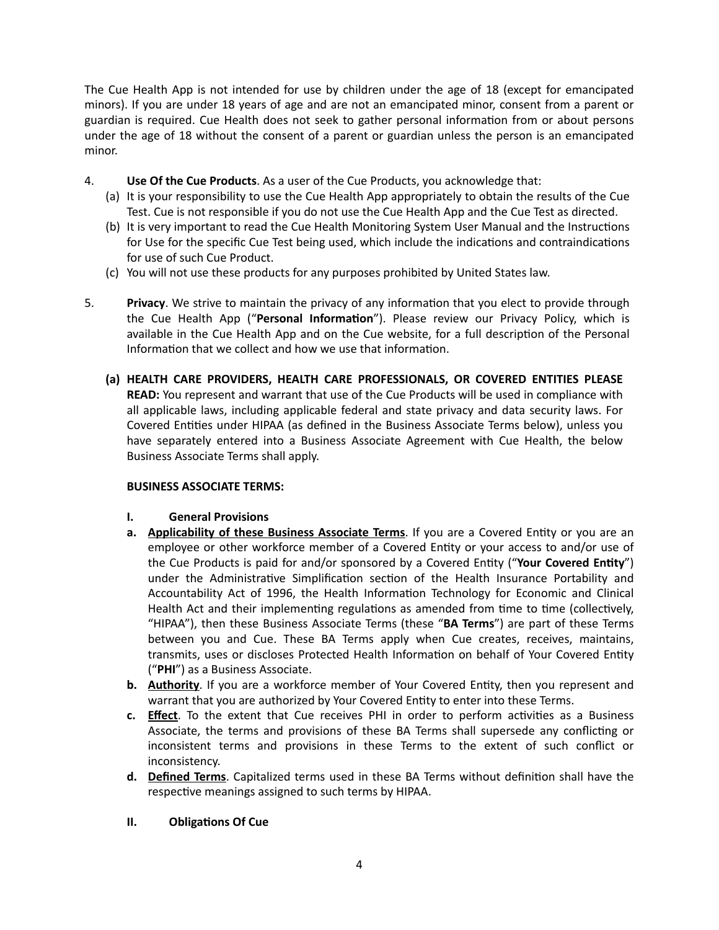The Cue Health App is not intended for use by children under the age of 18 (except for emancipated minors). If you are under 18 years of age and are not an emancipated minor, consent from a parent or guardian is required. Cue Health does not seek to gather personal information from or about persons under the age of 18 without the consent of a parent or guardian unless the person is an emancipated minor.

- 4. **Use Of the Cue Products**. As a user of the Cue Products, you acknowledge that:
	- (a) It is your responsibility to use the Cue Health App appropriately to obtain the results of the Cue Test. Cue is not responsible if you do not use the Cue Health App and the Cue Test as directed.
	- (b) It is very important to read the Cue Health Monitoring System User Manual and the Instructions for Use for the specific Cue Test being used, which include the indications and contraindications for use of such Cue Product.
	- (c) You will not use these products for any purposes prohibited by United States law.
- 5. **Privacy**. We strive to maintain the privacy of any information that you elect to provide through the Cue Health App ("**Personal Information**"). Please review our Privacy Policy, which is available in the Cue Health App and on the Cue website, for a full description of the Personal Information that we collect and how we use that information.
	- **(a) HEALTH CARE PROVIDERS, HEALTH CARE PROFESSIONALS, OR COVERED ENTITIES PLEASE READ:** You represent and warrant that use of the Cue Products will be used in compliance with all applicable laws, including applicable federal and state privacy and data security laws. For Covered Entities under HIPAA (as defined in the Business Associate Terms below), unless you have separately entered into a Business Associate Agreement with Cue Health, the below Business Associate Terms shall apply.

## **BUSINESS ASSOCIATE TERMS:**

## **I. General Provisions**

- **a. Applicability of these Business Associate Terms**. If you are a Covered Entity or you are an employee or other workforce member of a Covered Entity or your access to and/or use of the Cue Products is paid for and/or sponsored by a Covered Entity ("**Your Covered Entity**") under the Administrative Simplification section of the Health Insurance Portability and Accountability Act of 1996, the Health Information Technology for Economic and Clinical Health Act and their implementing regulations as amended from time to time (collectively, "HIPAA"), then these Business Associate Terms (these "**BA Terms**") are part of these Terms between you and Cue. These BA Terms apply when Cue creates, receives, maintains, transmits, uses or discloses Protected Health Information on behalf of Your Covered Entity ("**PHI**") as a Business Associate.
- **b. Authority**. If you are a workforce member of Your Covered Entity, then you represent and warrant that you are authorized by Your Covered Entity to enter into these Terms.
- **c. Effect**. To the extent that Cue receives PHI in order to perform activities as a Business Associate, the terms and provisions of these BA Terms shall supersede any conflicting or inconsistent terms and provisions in these Terms to the extent of such conflict or inconsistency.
- **d. Defined Terms**. Capitalized terms used in these BA Terms without definition shall have the respective meanings assigned to such terms by HIPAA.

## **II. Obligations Of Cue**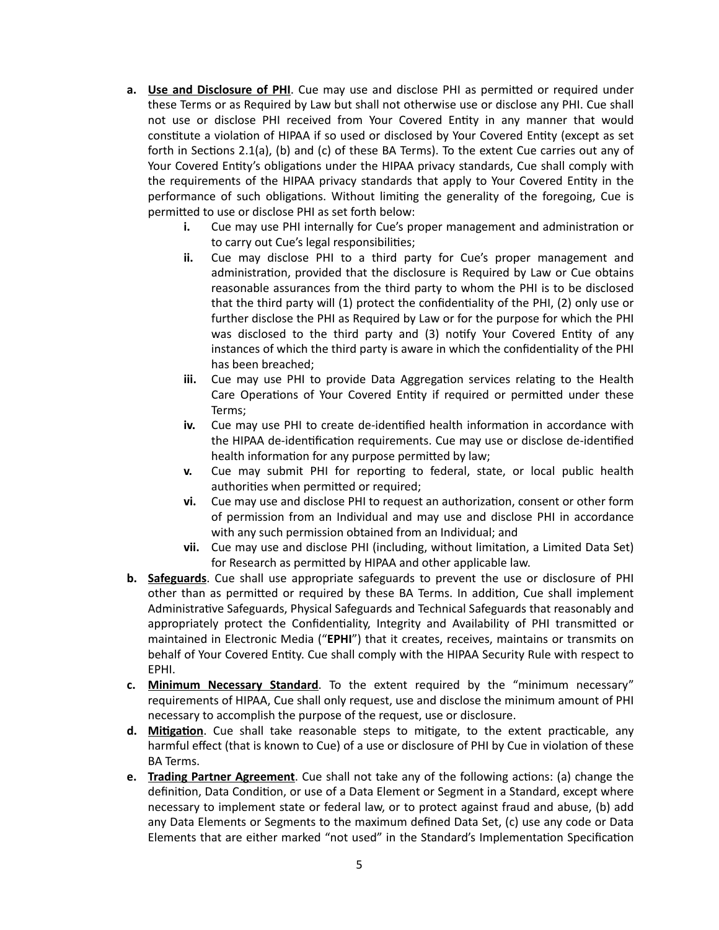- **a. Use and Disclosure of PHI**. Cue may use and disclose PHI as permitted or required under these Terms or as Required by Law but shall not otherwise use or disclose any PHI. Cue shall not use or disclose PHI received from Your Covered Entity in any manner that would constitute a violation of HIPAA if so used or disclosed by Your Covered Entity (except as set forth in Sections 2.1(a), (b) and (c) of these BA Terms). To the extent Cue carries out any of Your Covered Entity's obligations under the HIPAA privacy standards, Cue shall comply with the requirements of the HIPAA privacy standards that apply to Your Covered Entity in the performance of such obligations. Without limiting the generality of the foregoing, Cue is permitted to use or disclose PHI as set forth below:
	- **i.** Cue may use PHI internally for Cue's proper management and administration or to carry out Cue's legal responsibilities;
	- **ii.** Cue may disclose PHI to a third party for Cue's proper management and administration, provided that the disclosure is Required by Law or Cue obtains reasonable assurances from the third party to whom the PHI is to be disclosed that the third party will (1) protect the confidentiality of the PHI, (2) only use or further disclose the PHI as Required by Law or for the purpose for which the PHI was disclosed to the third party and (3) notify Your Covered Entity of any instances of which the third party is aware in which the confidentiality of the PHI has been breached;
	- **iii.** Cue may use PHI to provide Data Aggregation services relating to the Health Care Operations of Your Covered Entity if required or permitted under these Terms;
	- **iv.** Cue may use PHI to create de-identified health information in accordance with the HIPAA de-identification requirements. Cue may use or disclose de-identified health information for any purpose permitted by law;
	- **v.** Cue may submit PHI for reporting to federal, state, or local public health authorities when permitted or required;
	- **vi.** Cue may use and disclose PHI to request an authorization, consent or other form of permission from an Individual and may use and disclose PHI in accordance with any such permission obtained from an Individual; and
	- **vii.** Cue may use and disclose PHI (including, without limitation, a Limited Data Set) for Research as permitted by HIPAA and other applicable law.
- **b. Safeguards**. Cue shall use appropriate safeguards to prevent the use or disclosure of PHI other than as permitted or required by these BA Terms. In addition, Cue shall implement Administrative Safeguards, Physical Safeguards and Technical Safeguards that reasonably and appropriately protect the Confidentiality, Integrity and Availability of PHI transmitted or maintained in Electronic Media ("**EPHI**") that it creates, receives, maintains or transmits on behalf of Your Covered Entity. Cue shall comply with the HIPAA Security Rule with respect to EPHI.
- **c. Minimum Necessary Standard**. To the extent required by the "minimum necessary" requirements of HIPAA, Cue shall only request, use and disclose the minimum amount of PHI necessary to accomplish the purpose of the request, use or disclosure.
- **d. Mitigation**. Cue shall take reasonable steps to mitigate, to the extent practicable, any harmful effect (that is known to Cue) of a use or disclosure of PHI by Cue in violation of these BA Terms.
- **e. Trading Partner Agreement**. Cue shall not take any of the following actions: (a) change the definition, Data Condition, or use of a Data Element or Segment in a Standard, except where necessary to implement state or federal law, or to protect against fraud and abuse, (b) add any Data Elements or Segments to the maximum defined Data Set, (c) use any code or Data Elements that are either marked "not used" in the Standard's Implementation Specification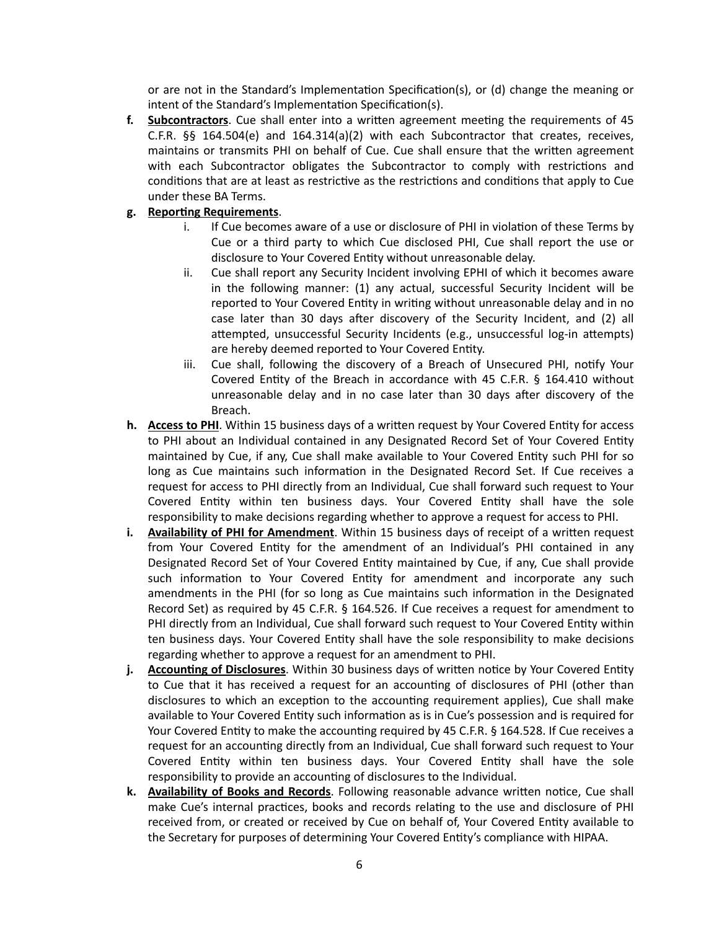or are not in the Standard's Implementation Specification(s), or (d) change the meaning or intent of the Standard's Implementation Specification(s).

**f. Subcontractors**. Cue shall enter into a written agreement meeting the requirements of 45 C.F.R.  $\S$ § 164.504(e) and 164.314(a)(2) with each Subcontractor that creates, receives, maintains or transmits PHI on behalf of Cue. Cue shall ensure that the written agreement with each Subcontractor obligates the Subcontractor to comply with restrictions and conditions that are at least as restrictive as the restrictions and conditions that apply to Cue under these BA Terms.

### **g. Reporting Requirements**.

- i. If Cue becomes aware of a use or disclosure of PHI in violation of these Terms by Cue or a third party to which Cue disclosed PHI, Cue shall report the use or disclosure to Your Covered Entity without unreasonable delay.
- ii. Cue shall report any Security Incident involving EPHI of which it becomes aware in the following manner: (1) any actual, successful Security Incident will be reported to Your Covered Entity in writing without unreasonable delay and in no case later than 30 days after discovery of the Security Incident, and (2) all attempted, unsuccessful Security Incidents (e.g., unsuccessful log-in attempts) are hereby deemed reported to Your Covered Entity.
- iii. Cue shall, following the discovery of a Breach of Unsecured PHI, notify Your Covered Entity of the Breach in accordance with 45 C.F.R. § 164.410 without unreasonable delay and in no case later than 30 days after discovery of the Breach.
- **h. Access to PHI**. Within 15 business days of a written request by Your Covered Entity for access to PHI about an Individual contained in any Designated Record Set of Your Covered Entity maintained by Cue, if any, Cue shall make available to Your Covered Entity such PHI for so long as Cue maintains such information in the Designated Record Set. If Cue receives a request for access to PHI directly from an Individual, Cue shall forward such request to Your Covered Entity within ten business days. Your Covered Entity shall have the sole responsibility to make decisions regarding whether to approve a request for access to PHI.
- **i. Availability of PHI for Amendment**. Within 15 business days of receipt of a written request from Your Covered Entity for the amendment of an Individual's PHI contained in any Designated Record Set of Your Covered Entity maintained by Cue, if any, Cue shall provide such information to Your Covered Entity for amendment and incorporate any such amendments in the PHI (for so long as Cue maintains such information in the Designated Record Set) as required by 45 C.F.R. § 164.526. If Cue receives a request for amendment to PHI directly from an Individual, Cue shall forward such request to Your Covered Entity within ten business days. Your Covered Entity shall have the sole responsibility to make decisions regarding whether to approve a request for an amendment to PHI.
- **j. Accounting of Disclosures**. Within 30 business days of written notice by Your Covered Entity to Cue that it has received a request for an accounting of disclosures of PHI (other than disclosures to which an exception to the accounting requirement applies), Cue shall make available to Your Covered Entity such information as is in Cue's possession and is required for Your Covered Entity to make the accounting required by 45 C.F.R. § 164.528. If Cue receives a request for an accounting directly from an Individual, Cue shall forward such request to Your Covered Entity within ten business days. Your Covered Entity shall have the sole responsibility to provide an accounting of disclosures to the Individual.
- **k. Availability of Books and Records**. Following reasonable advance written notice, Cue shall make Cue's internal practices, books and records relating to the use and disclosure of PHI received from, or created or received by Cue on behalf of, Your Covered Entity available to the Secretary for purposes of determining Your Covered Entity's compliance with HIPAA.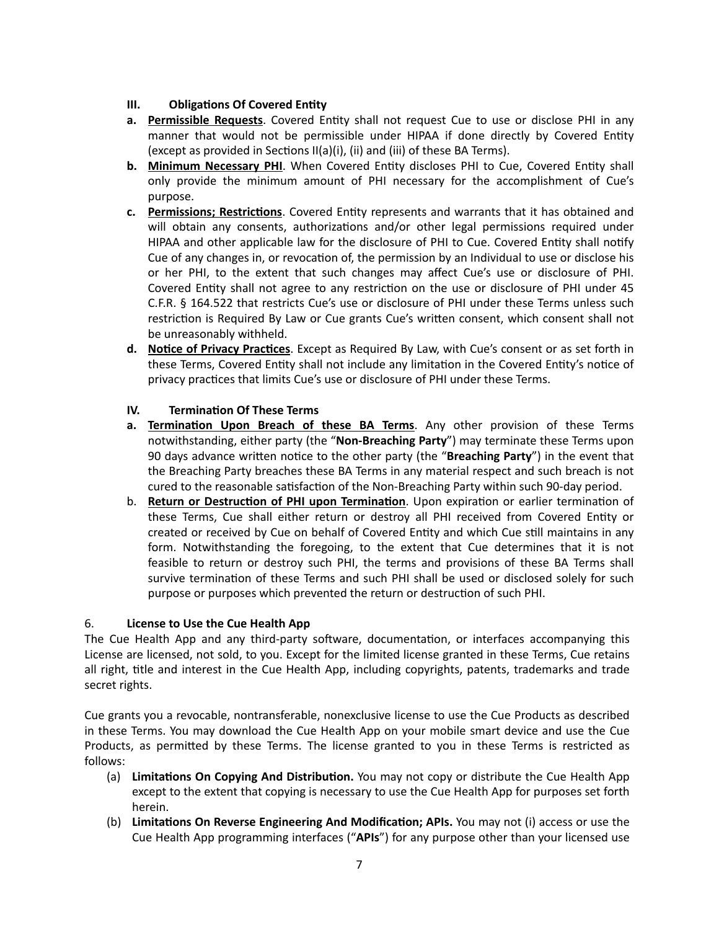# **III. Obligations Of Covered Entity**

- **a. Permissible Requests**. Covered Entity shall not request Cue to use or disclose PHI in any manner that would not be permissible under HIPAA if done directly by Covered Entity (except as provided in Sections II(a)(i), (ii) and (iii) of these BA Terms).
- **b. Minimum Necessary PHI**. When Covered Entity discloses PHI to Cue, Covered Entity shall only provide the minimum amount of PHI necessary for the accomplishment of Cue's purpose.
- **c. Permissions; Restrictions**. Covered Entity represents and warrants that it has obtained and will obtain any consents, authorizations and/or other legal permissions required under HIPAA and other applicable law for the disclosure of PHI to Cue. Covered Entity shall notify Cue of any changes in, or revocation of, the permission by an Individual to use or disclose his or her PHI, to the extent that such changes may affect Cue's use or disclosure of PHI. Covered Entity shall not agree to any restriction on the use or disclosure of PHI under 45 C.F.R. § 164.522 that restricts Cue's use or disclosure of PHI under these Terms unless such restriction is Required By Law or Cue grants Cue's written consent, which consent shall not be unreasonably withheld.
- **d. Notice of Privacy Practices**. Except as Required By Law, with Cue's consent or as set forth in these Terms, Covered Entity shall not include any limitation in the Covered Entity's notice of privacy practices that limits Cue's use or disclosure of PHI under these Terms.

# **IV. Termination Of These Terms**

- **a. Termination Upon Breach of these BA Terms**. Any other provision of these Terms notwithstanding, either party (the "**Non-Breaching Party**") may terminate these Terms upon 90 days advance written notice to the other party (the "**Breaching Party**") in the event that the Breaching Party breaches these BA Terms in any material respect and such breach is not cured to the reasonable satisfaction of the Non-Breaching Party within such 90-day period.
- b. **Return or Destruction of PHI upon Termination**. Upon expiration or earlier termination of these Terms, Cue shall either return or destroy all PHI received from Covered Entity or created or received by Cue on behalf of Covered Entity and which Cue still maintains in any form. Notwithstanding the foregoing, to the extent that Cue determines that it is not feasible to return or destroy such PHI, the terms and provisions of these BA Terms shall survive termination of these Terms and such PHI shall be used or disclosed solely for such purpose or purposes which prevented the return or destruction of such PHI.

# 6. **License to Use the Cue Health App**

The Cue Health App and any third-party software, documentation, or interfaces accompanying this License are licensed, not sold, to you. Except for the limited license granted in these Terms, Cue retains all right, title and interest in the Cue Health App, including copyrights, patents, trademarks and trade secret rights.

Cue grants you a revocable, nontransferable, nonexclusive license to use the Cue Products as described in these Terms. You may download the Cue Health App on your mobile smart device and use the Cue Products, as permitted by these Terms. The license granted to you in these Terms is restricted as follows:

- (a) **Limitations On Copying And Distribution.** You may not copy or distribute the Cue Health App except to the extent that copying is necessary to use the Cue Health App for purposes set forth herein.
- (b) **Limitations On Reverse Engineering And Modification; APIs.** You may not (i) access or use the Cue Health App programming interfaces ("**APIs**") for any purpose other than your licensed use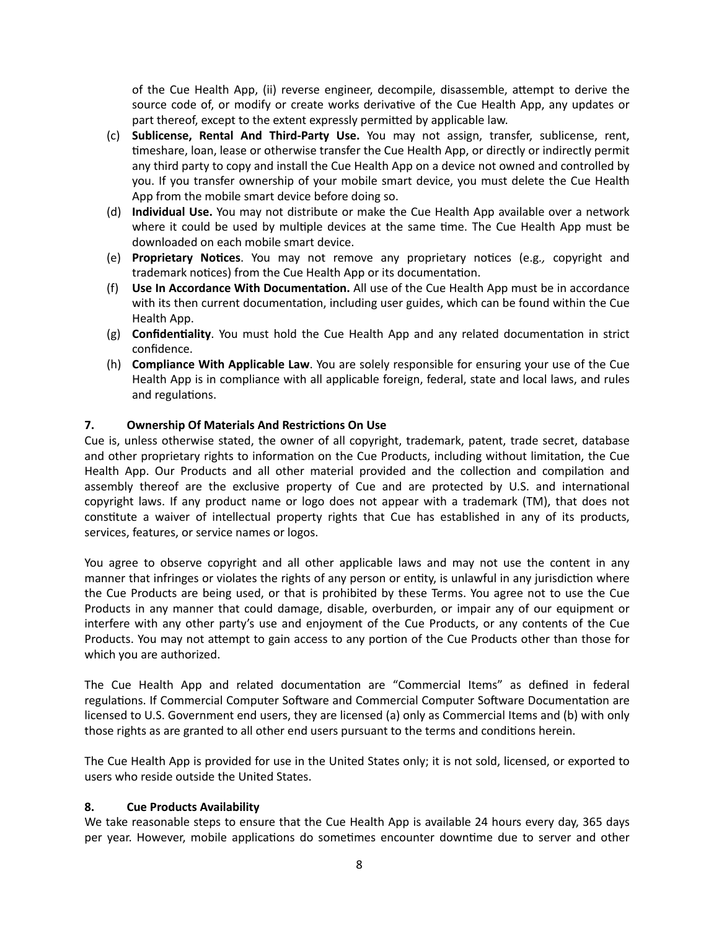of the Cue Health App, (ii) reverse engineer, decompile, disassemble, attempt to derive the source code of, or modify or create works derivative of the Cue Health App, any updates or part thereof, except to the extent expressly permitted by applicable law.

- (c) **Sublicense, Rental And Third-Party Use.** You may not assign, transfer, sublicense, rent, timeshare, loan, lease or otherwise transfer the Cue Health App, or directly or indirectly permit any third party to copy and install the Cue Health App on a device not owned and controlled by you. If you transfer ownership of your mobile smart device, you must delete the Cue Health App from the mobile smart device before doing so.
- (d) **Individual Use.** You may not distribute or make the Cue Health App available over a network where it could be used by multiple devices at the same time. The Cue Health App must be downloaded on each mobile smart device.
- (e) **Proprietary Notices**. You may not remove any proprietary notices (e.g*.,* copyright and trademark notices) from the Cue Health App or its documentation.
- (f) **Use In Accordance With Documentation.** All use of the Cue Health App must be in accordance with its then current documentation, including user guides, which can be found within the Cue Health App.
- (g) **Confidentiality**. You must hold the Cue Health App and any related documentation in strict confidence.
- (h) **Compliance With Applicable Law**. You are solely responsible for ensuring your use of the Cue Health App is in compliance with all applicable foreign, federal, state and local laws, and rules and regulations.

## **7. Ownership Of Materials And Restrictions On Use**

Cue is, unless otherwise stated, the owner of all copyright, trademark, patent, trade secret, database and other proprietary rights to information on the Cue Products, including without limitation, the Cue Health App. Our Products and all other material provided and the collection and compilation and assembly thereof are the exclusive property of Cue and are protected by U.S. and international copyright laws. If any product name or logo does not appear with a trademark (TM), that does not constitute a waiver of intellectual property rights that Cue has established in any of its products, services, features, or service names or logos.

You agree to observe copyright and all other applicable laws and may not use the content in any manner that infringes or violates the rights of any person or entity, is unlawful in any jurisdiction where the Cue Products are being used, or that is prohibited by these Terms. You agree not to use the Cue Products in any manner that could damage, disable, overburden, or impair any of our equipment or interfere with any other party's use and enjoyment of the Cue Products, or any contents of the Cue Products. You may not attempt to gain access to any portion of the Cue Products other than those for which you are authorized.

The Cue Health App and related documentation are "Commercial Items" as defined in federal regulations. If Commercial Computer Software and Commercial Computer Software Documentation are licensed to U.S. Government end users, they are licensed (a) only as Commercial Items and (b) with only those rights as are granted to all other end users pursuant to the terms and conditions herein.

The Cue Health App is provided for use in the United States only; it is not sold, licensed, or exported to users who reside outside the United States.

### **8. Cue Products Availability**

We take reasonable steps to ensure that the Cue Health App is available 24 hours every day, 365 days per year. However, mobile applications do sometimes encounter downtime due to server and other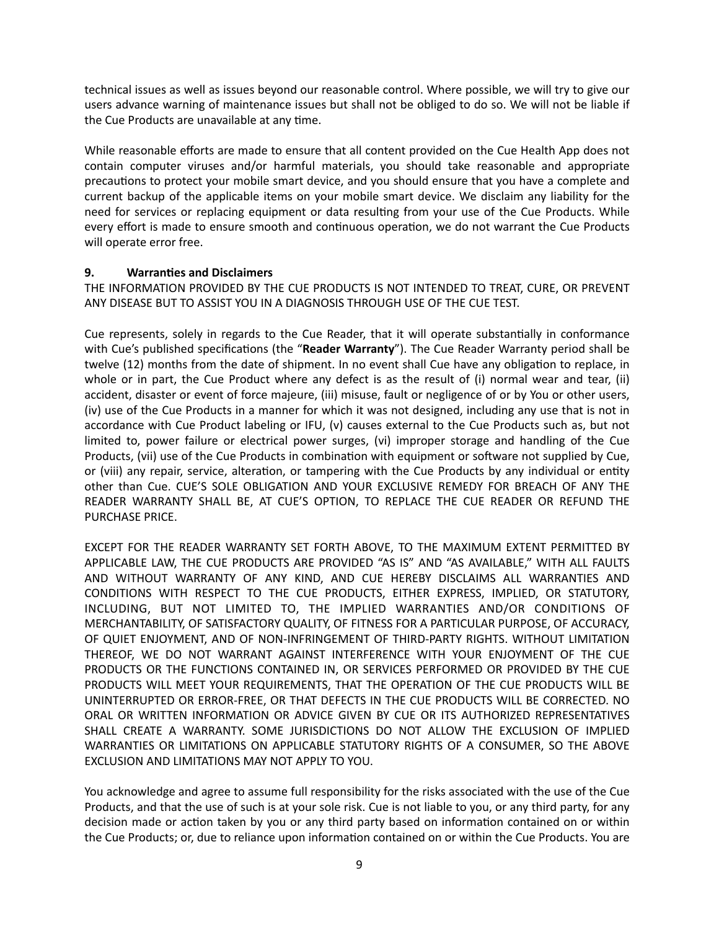technical issues as well as issues beyond our reasonable control. Where possible, we will try to give our users advance warning of maintenance issues but shall not be obliged to do so. We will not be liable if the Cue Products are unavailable at any time.

While reasonable efforts are made to ensure that all content provided on the Cue Health App does not contain computer viruses and/or harmful materials, you should take reasonable and appropriate precautions to protect your mobile smart device, and you should ensure that you have a complete and current backup of the applicable items on your mobile smart device. We disclaim any liability for the need for services or replacing equipment or data resulting from your use of the Cue Products. While every effort is made to ensure smooth and continuous operation, we do not warrant the Cue Products will operate error free.

### **9. Warranties and Disclaimers**

THE INFORMATION PROVIDED BY THE CUE PRODUCTS IS NOT INTENDED TO TREAT, CURE, OR PREVENT ANY DISEASE BUT TO ASSIST YOU IN A DIAGNOSIS THROUGH USE OF THE CUE TEST.

Cue represents, solely in regards to the Cue Reader, that it will operate substantially in conformance with Cue's published specifications (the "**Reader Warranty**"). The Cue Reader Warranty period shall be twelve (12) months from the date of shipment. In no event shall Cue have any obligation to replace, in whole or in part, the Cue Product where any defect is as the result of (i) normal wear and tear, (ii) accident, disaster or event of force majeure, (iii) misuse, fault or negligence of or by You or other users, (iv) use of the Cue Products in a manner for which it was not designed, including any use that is not in accordance with Cue Product labeling or IFU, (v) causes external to the Cue Products such as, but not limited to, power failure or electrical power surges, (vi) improper storage and handling of the Cue Products, (vii) use of the Cue Products in combination with equipment or software not supplied by Cue, or (viii) any repair, service, alteration, or tampering with the Cue Products by any individual or entity other than Cue. CUE'S SOLE OBLIGATION AND YOUR EXCLUSIVE REMEDY FOR BREACH OF ANY THE READER WARRANTY SHALL BE, AT CUE'S OPTION, TO REPLACE THE CUE READER OR REFUND THE PURCHASE PRICE.

EXCEPT FOR THE READER WARRANTY SET FORTH ABOVE, TO THE MAXIMUM EXTENT PERMITTED BY APPLICABLE LAW, THE CUE PRODUCTS ARE PROVIDED "AS IS" AND "AS AVAILABLE," WITH ALL FAULTS AND WITHOUT WARRANTY OF ANY KIND, AND CUE HEREBY DISCLAIMS ALL WARRANTIES AND CONDITIONS WITH RESPECT TO THE CUE PRODUCTS, EITHER EXPRESS, IMPLIED, OR STATUTORY, INCLUDING, BUT NOT LIMITED TO, THE IMPLIED WARRANTIES AND/OR CONDITIONS OF MERCHANTABILITY, OF SATISFACTORY QUALITY, OF FITNESS FOR A PARTICULAR PURPOSE, OF ACCURACY, OF QUIET ENJOYMENT, AND OF NON-INFRINGEMENT OF THIRD-PARTY RIGHTS. WITHOUT LIMITATION THEREOF, WE DO NOT WARRANT AGAINST INTERFERENCE WITH YOUR ENJOYMENT OF THE CUE PRODUCTS OR THE FUNCTIONS CONTAINED IN, OR SERVICES PERFORMED OR PROVIDED BY THE CUE PRODUCTS WILL MEET YOUR REQUIREMENTS, THAT THE OPERATION OF THE CUE PRODUCTS WILL BE UNINTERRUPTED OR ERROR-FREE, OR THAT DEFECTS IN THE CUE PRODUCTS WILL BE CORRECTED. NO ORAL OR WRITTEN INFORMATION OR ADVICE GIVEN BY CUE OR ITS AUTHORIZED REPRESENTATIVES SHALL CREATE A WARRANTY. SOME JURISDICTIONS DO NOT ALLOW THE EXCLUSION OF IMPLIED WARRANTIES OR LIMITATIONS ON APPLICABLE STATUTORY RIGHTS OF A CONSUMER, SO THE ABOVE EXCLUSION AND LIMITATIONS MAY NOT APPLY TO YOU.

You acknowledge and agree to assume full responsibility for the risks associated with the use of the Cue Products, and that the use of such is at your sole risk. Cue is not liable to you, or any third party, for any decision made or action taken by you or any third party based on information contained on or within the Cue Products; or, due to reliance upon information contained on or within the Cue Products. You are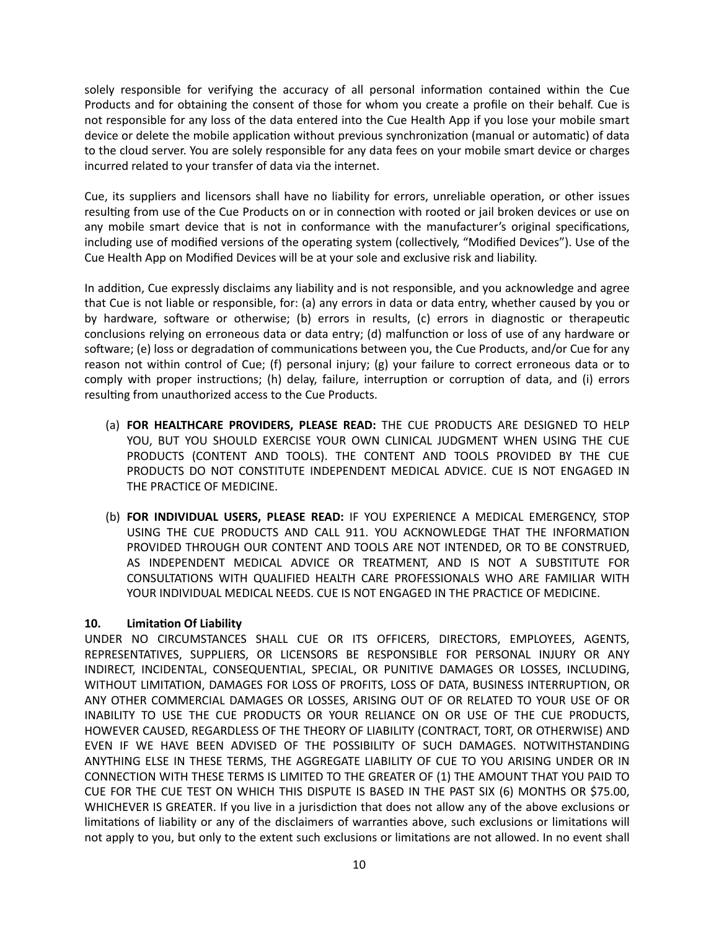solely responsible for verifying the accuracy of all personal information contained within the Cue Products and for obtaining the consent of those for whom you create a profile on their behalf. Cue is not responsible for any loss of the data entered into the Cue Health App if you lose your mobile smart device or delete the mobile application without previous synchronization (manual or automatic) of data to the cloud server. You are solely responsible for any data fees on your mobile smart device or charges incurred related to your transfer of data via the internet.

Cue, its suppliers and licensors shall have no liability for errors, unreliable operation, or other issues resulting from use of the Cue Products on or in connection with rooted or jail broken devices or use on any mobile smart device that is not in conformance with the manufacturer's original specifications, including use of modified versions of the operating system (collectively, "Modified Devices"). Use of the Cue Health App on Modified Devices will be at your sole and exclusive risk and liability.

In addition, Cue expressly disclaims any liability and is not responsible, and you acknowledge and agree that Cue is not liable or responsible, for: (a) any errors in data or data entry, whether caused by you or by hardware, software or otherwise; (b) errors in results, (c) errors in diagnostic or therapeutic conclusions relying on erroneous data or data entry; (d) malfunction or loss of use of any hardware or software; (e) loss or degradation of communications between you, the Cue Products, and/or Cue for any reason not within control of Cue; (f) personal injury; (g) your failure to correct erroneous data or to comply with proper instructions; (h) delay, failure, interruption or corruption of data, and (i) errors resulting from unauthorized access to the Cue Products.

- (a) **FOR HEALTHCARE PROVIDERS, PLEASE READ:** THE CUE PRODUCTS ARE DESIGNED TO HELP YOU, BUT YOU SHOULD EXERCISE YOUR OWN CLINICAL JUDGMENT WHEN USING THE CUE PRODUCTS (CONTENT AND TOOLS). THE CONTENT AND TOOLS PROVIDED BY THE CUE PRODUCTS DO NOT CONSTITUTE INDEPENDENT MEDICAL ADVICE. CUE IS NOT ENGAGED IN THE PRACTICE OF MEDICINE.
- (b) **FOR INDIVIDUAL USERS, PLEASE READ:** IF YOU EXPERIENCE A MEDICAL EMERGENCY, STOP USING THE CUE PRODUCTS AND CALL 911. YOU ACKNOWLEDGE THAT THE INFORMATION PROVIDED THROUGH OUR CONTENT AND TOOLS ARE NOT INTENDED, OR TO BE CONSTRUED, AS INDEPENDENT MEDICAL ADVICE OR TREATMENT, AND IS NOT A SUBSTITUTE FOR CONSULTATIONS WITH QUALIFIED HEALTH CARE PROFESSIONALS WHO ARE FAMILIAR WITH YOUR INDIVIDUAL MEDICAL NEEDS. CUE IS NOT ENGAGED IN THE PRACTICE OF MEDICINE.

## **10. Limitation Of Liability**

UNDER NO CIRCUMSTANCES SHALL CUE OR ITS OFFICERS, DIRECTORS, EMPLOYEES, AGENTS, REPRESENTATIVES, SUPPLIERS, OR LICENSORS BE RESPONSIBLE FOR PERSONAL INJURY OR ANY INDIRECT, INCIDENTAL, CONSEQUENTIAL, SPECIAL, OR PUNITIVE DAMAGES OR LOSSES, INCLUDING, WITHOUT LIMITATION, DAMAGES FOR LOSS OF PROFITS, LOSS OF DATA, BUSINESS INTERRUPTION, OR ANY OTHER COMMERCIAL DAMAGES OR LOSSES, ARISING OUT OF OR RELATED TO YOUR USE OF OR INABILITY TO USE THE CUE PRODUCTS OR YOUR RELIANCE ON OR USE OF THE CUE PRODUCTS, HOWEVER CAUSED, REGARDLESS OF THE THEORY OF LIABILITY (CONTRACT, TORT, OR OTHERWISE) AND EVEN IF WE HAVE BEEN ADVISED OF THE POSSIBILITY OF SUCH DAMAGES. NOTWITHSTANDING ANYTHING ELSE IN THESE TERMS, THE AGGREGATE LIABILITY OF CUE TO YOU ARISING UNDER OR IN CONNECTION WITH THESE TERMS IS LIMITED TO THE GREATER OF (1) THE AMOUNT THAT YOU PAID TO CUE FOR THE CUE TEST ON WHICH THIS DISPUTE IS BASED IN THE PAST SIX (6) MONTHS OR \$75.00, WHICHEVER IS GREATER. If you live in a jurisdiction that does not allow any of the above exclusions or limitations of liability or any of the disclaimers of warranties above, such exclusions or limitations will not apply to you, but only to the extent such exclusions or limitations are not allowed. In no event shall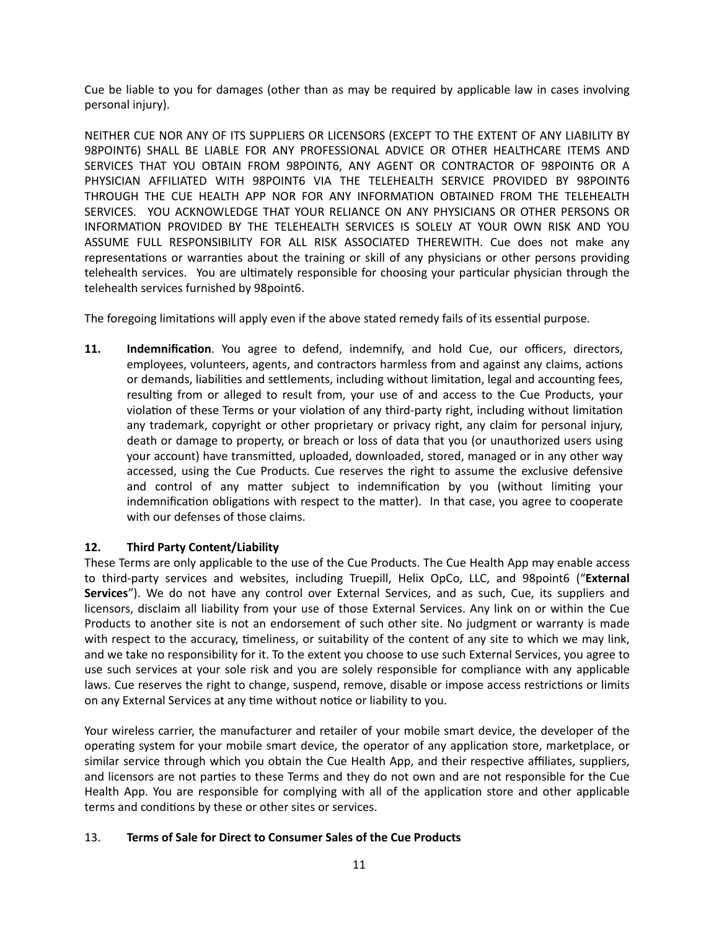Cue be liable to you for damages (other than as may be required by applicable law in cases involving personal injury).

NEITHER CUE NOR ANY OF ITS SUPPLIERS OR LICENSORS (EXCEPT TO THE EXTENT OF ANY LIABILITY BY 98POINT6) SHALL BE LIABLE FOR ANY PROFESSIONAL ADVICE OR OTHER HEALTHCARE ITEMS AND SERVICES THAT YOU OBTAIN FROM 98POINT6, ANY AGENT OR CONTRACTOR OF 98POINT6 OR A PHYSICIAN AFFILIATED WITH 98POINT6 VIA THE TELEHEALTH SERVICE PROVIDED BY 98POINT6 THROUGH THE CUE HEALTH APP NOR FOR ANY INFORMATION OBTAINED FROM THE TELEHEALTH SERVICES. YOU ACKNOWLEDGE THAT YOUR RELIANCE ON ANY PHYSICIANS OR OTHER PERSONS OR INFORMATION PROVIDED BY THE TELEHEALTH SERVICES IS SOLELY AT YOUR OWN RISK AND YOU ASSUME FULL RESPONSIBILITY FOR ALL RISK ASSOCIATED THEREWITH. Cue does not make any representations or warranties about the training or skill of any physicians or other persons providing telehealth services. You are ultimately responsible for choosing your particular physician through the telehealth services furnished by 98point6.

The foregoing limitations will apply even if the above stated remedy fails of its essential purpose.

**11. Indemnification**. You agree to defend, indemnify, and hold Cue, our officers, directors, employees, volunteers, agents, and contractors harmless from and against any claims, actions or demands, liabilities and settlements, including without limitation, legal and accounting fees, resulting from or alleged to result from, your use of and access to the Cue Products, your violation of these Terms or your violation of any third-party right, including without limitation any trademark, copyright or other proprietary or privacy right, any claim for personal injury, death or damage to property, or breach or loss of data that you (or unauthorized users using your account) have transmitted, uploaded, downloaded, stored, managed or in any other way accessed, using the Cue Products. Cue reserves the right to assume the exclusive defensive and control of any matter subject to indemnification by you (without limiting your indemnification obligations with respect to the matter). In that case, you agree to cooperate with our defenses of those claims.

## **12. Third Party Content/Liability**

These Terms are only applicable to the use of the Cue Products. The Cue Health App may enable access to third-party services and websites, including Truepill, Helix OpCo, LLC, and 98point6 ("**External Services**"). We do not have any control over External Services, and as such, Cue, its suppliers and licensors, disclaim all liability from your use of those External Services. Any link on or within the Cue Products to another site is not an endorsement of such other site. No judgment or warranty is made with respect to the accuracy, timeliness, or suitability of the content of any site to which we may link, and we take no responsibility for it. To the extent you choose to use such External Services, you agree to use such services at your sole risk and you are solely responsible for compliance with any applicable laws. Cue reserves the right to change, suspend, remove, disable or impose access restrictions or limits on any External Services at any time without notice or liability to you.

Your wireless carrier, the manufacturer and retailer of your mobile smart device, the developer of the operating system for your mobile smart device, the operator of any application store, marketplace, or similar service through which you obtain the Cue Health App, and their respective affiliates, suppliers, and licensors are not parties to these Terms and they do not own and are not responsible for the Cue Health App. You are responsible for complying with all of the application store and other applicable terms and conditions by these or other sites or services.

### 13. **Terms of Sale for Direct to Consumer Sales of the Cue Products**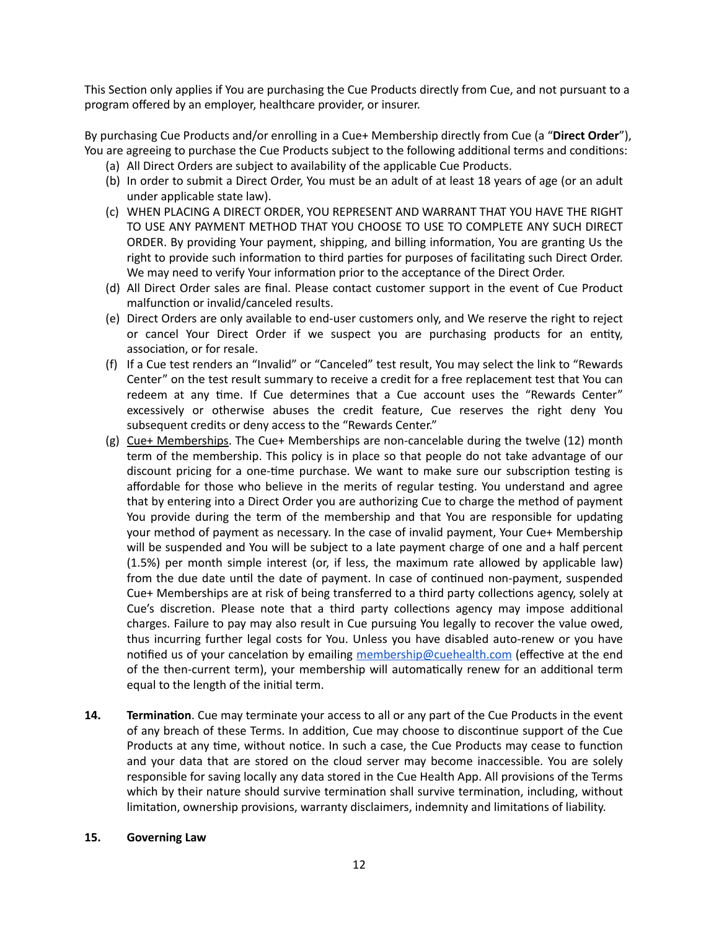This Section only applies if You are purchasing the Cue Products directly from Cue, and not pursuant to a program offered by an employer, healthcare provider, or insurer.

By purchasing Cue Products and/or enrolling in a Cue+ Membership directly from Cue (a "**Direct Order**"), You are agreeing to purchase the Cue Products subject to the following additional terms and conditions:

- (a) All Direct Orders are subject to availability of the applicable Cue Products.
- (b) In order to submit a Direct Order, You must be an adult of at least 18 years of age (or an adult under applicable state law).
- (c) WHEN PLACING A DIRECT ORDER, YOU REPRESENT AND WARRANT THAT YOU HAVE THE RIGHT TO USE ANY PAYMENT METHOD THAT YOU CHOOSE TO USE TO COMPLETE ANY SUCH DIRECT ORDER. By providing Your payment, shipping, and billing information, You are granting Us the right to provide such information to third parties for purposes of facilitating such Direct Order. We may need to verify Your information prior to the acceptance of the Direct Order.
- (d) All Direct Order sales are final. Please contact customer support in the event of Cue Product malfunction or invalid/canceled results.
- (e) Direct Orders are only available to end-user customers only, and We reserve the right to reject or cancel Your Direct Order if we suspect you are purchasing products for an entity, association, or for resale.
- (f) If a Cue test renders an "Invalid" or "Canceled" test result, You may select the link to "Rewards Center" on the test result summary to receive a credit for a free replacement test that You can redeem at any time. If Cue determines that a Cue account uses the "Rewards Center" excessively or otherwise abuses the credit feature, Cue reserves the right deny You subsequent credits or deny access to the "Rewards Center."
- (g) Cue+ Memberships. The Cue+ Memberships are non-cancelable during the twelve (12) month term of the membership. This policy is in place so that people do not take advantage of our discount pricing for a one-time purchase. We want to make sure our subscription testing is affordable for those who believe in the merits of regular testing. You understand and agree that by entering into a Direct Order you are authorizing Cue to charge the method of payment You provide during the term of the membership and that You are responsible for updating your method of payment as necessary. In the case of invalid payment, Your Cue+ Membership will be suspended and You will be subject to a late payment charge of one and a half percent (1.5%) per month simple interest (or, if less, the maximum rate allowed by applicable law) from the due date until the date of payment. In case of continued non-payment, suspended Cue+ Memberships are at risk of being transferred to a third party collections agency, solely at Cue's discretion. Please note that a third party collections agency may impose additional charges. Failure to pay may also result in Cue pursuing You legally to recover the value owed, thus incurring further legal costs for You. Unless you have disabled auto-renew or you have notified us of your cancelation by emailing [membership@cuehealth.com](mailto:membership@cuehealth.com) (effective at the end of the then-current term), your membership will automatically renew for an additional term equal to the length of the initial term.
- **14. Termination**. Cue may terminate your access to all or any part of the Cue Products in the event of any breach of these Terms. In addition, Cue may choose to discontinue support of the Cue Products at any time, without notice. In such a case, the Cue Products may cease to function and your data that are stored on the cloud server may become inaccessible. You are solely responsible for saving locally any data stored in the Cue Health App. All provisions of the Terms which by their nature should survive termination shall survive termination, including, without limitation, ownership provisions, warranty disclaimers, indemnity and limitations of liability.

### **15. Governing Law**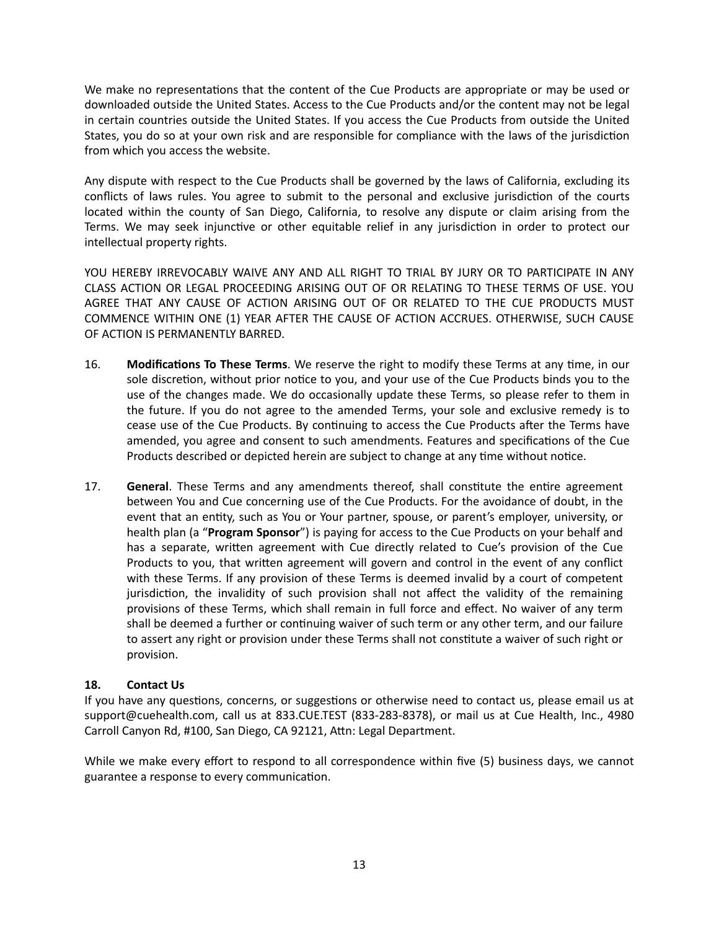We make no representations that the content of the Cue Products are appropriate or may be used or downloaded outside the United States. Access to the Cue Products and/or the content may not be legal in certain countries outside the United States. If you access the Cue Products from outside the United States, you do so at your own risk and are responsible for compliance with the laws of the jurisdiction from which you access the website.

Any dispute with respect to the Cue Products shall be governed by the laws of California, excluding its conflicts of laws rules. You agree to submit to the personal and exclusive jurisdiction of the courts located within the county of San Diego, California, to resolve any dispute or claim arising from the Terms. We may seek injunctive or other equitable relief in any jurisdiction in order to protect our intellectual property rights.

YOU HEREBY IRREVOCABLY WAIVE ANY AND ALL RIGHT TO TRIAL BY JURY OR TO PARTICIPATE IN ANY CLASS ACTION OR LEGAL PROCEEDING ARISING OUT OF OR RELATING TO THESE TERMS OF USE. YOU AGREE THAT ANY CAUSE OF ACTION ARISING OUT OF OR RELATED TO THE CUE PRODUCTS MUST COMMENCE WITHIN ONE (1) YEAR AFTER THE CAUSE OF ACTION ACCRUES. OTHERWISE, SUCH CAUSE OF ACTION IS PERMANENTLY BARRED.

- 16. **Modifications To These Terms**. We reserve the right to modify these Terms at any time, in our sole discretion, without prior notice to you, and your use of the Cue Products binds you to the use of the changes made. We do occasionally update these Terms, so please refer to them in the future. If you do not agree to the amended Terms, your sole and exclusive remedy is to cease use of the Cue Products. By continuing to access the Cue Products after the Terms have amended, you agree and consent to such amendments. Features and specifications of the Cue Products described or depicted herein are subject to change at any time without notice.
- 17. **General**. These Terms and any amendments thereof, shall constitute the entire agreement between You and Cue concerning use of the Cue Products. For the avoidance of doubt, in the event that an entity, such as You or Your partner, spouse, or parent's employer, university, or health plan (a "**Program Sponsor**") is paying for access to the Cue Products on your behalf and has a separate, written agreement with Cue directly related to Cue's provision of the Cue Products to you, that written agreement will govern and control in the event of any conflict with these Terms. If any provision of these Terms is deemed invalid by a court of competent jurisdiction, the invalidity of such provision shall not affect the validity of the remaining provisions of these Terms, which shall remain in full force and effect. No waiver of any term shall be deemed a further or continuing waiver of such term or any other term, and our failure to assert any right or provision under these Terms shall not constitute a waiver of such right or provision.

## **18. Contact Us**

If you have any questions, concerns, or suggestions or otherwise need to contact us, please email us at [support@cuehealth.com](mailto:support@cuehealth.com), call us at 833.CUE.TEST (833-283-8378), or mail us at Cue Health, Inc., 4980 Carroll Canyon Rd, #100, San Diego, CA 92121, Attn: Legal Department.

While we make every effort to respond to all correspondence within five (5) business days, we cannot guarantee a response to every communication.